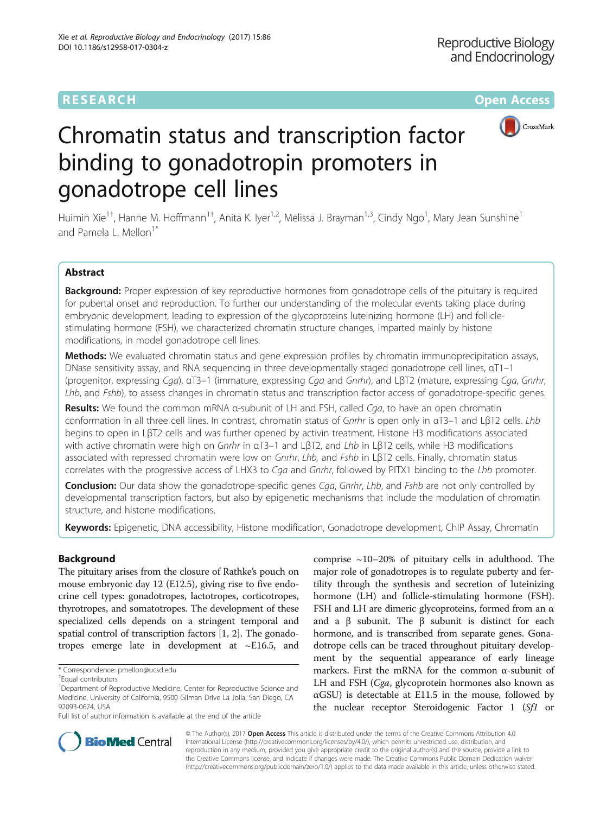## **RESEARCH CHE Open Access**



# Chromatin status and transcription factor binding to gonadotropin promoters in gonadotrope cell lines

Huimin Xie<sup>1†</sup>, Hanne M. Hoffmann<sup>1†</sup>, Anita K. Iyer<sup>1,2</sup>, Melissa J. Brayman<sup>1,3</sup>, Cindy Ngo<sup>1</sup>, Mary Jean Sunshine<sup>1</sup> and Pamela L. Mellon<sup>1\*</sup>

## Abstract

Background: Proper expression of key reproductive hormones from gonadotrope cells of the pituitary is required for pubertal onset and reproduction. To further our understanding of the molecular events taking place during embryonic development, leading to expression of the glycoproteins luteinizing hormone (LH) and folliclestimulating hormone (FSH), we characterized chromatin structure changes, imparted mainly by histone modifications, in model gonadotrope cell lines.

Methods: We evaluated chromatin status and gene expression profiles by chromatin immunoprecipitation assays, DNase sensitivity assay, and RNA sequencing in three developmentally staged gonadotrope cell lines, αT1–1 (progenitor, expressing Cga), <sup>α</sup>T3–1 (immature, expressing Cga and Gnrhr), and LβT2 (mature, expressing Cga, Gnrhr, Lhb, and Fshb), to assess changes in chromatin status and transcription factor access of gonadotrope-specific genes.

Results: We found the common mRNA α-subunit of LH and FSH, called Cga, to have an open chromatin conformation in all three cell lines. In contrast, chromatin status of Gnrhr is open only in <sup>α</sup>T3–1 and LβT2 cells. Lhb begins to open in LβT2 cells and was further opened by activin treatment. Histone H3 modifications associated with active chromatin were high on Gnrhr in αT3–1 and LβT2, and Lhb in LβT2 cells, while H3 modifications associated with repressed chromatin were low on Gnrhr, Lhb, and Fshb in LβT2 cells. Finally, chromatin status correlates with the progressive access of LHX3 to Cga and Gnrhr, followed by PITX1 binding to the Lhb promoter.

**Conclusion:** Our data show the gonadotrope-specific genes Cga, Gnrhr, Lhb, and Fshb are not only controlled by developmental transcription factors, but also by epigenetic mechanisms that include the modulation of chromatin structure, and histone modifications.

Keywords: Epigenetic, DNA accessibility, Histone modification, Gonadotrope development, ChIP Assay, Chromatin

## Background

The pituitary arises from the closure of Rathke's pouch on mouse embryonic day 12 (E12.5), giving rise to five endocrine cell types: gonadotropes, lactotropes, corticotropes, thyrotropes, and somatotropes. The development of these specialized cells depends on a stringent temporal and spatial control of transcription factors [\[1](#page-9-0), [2](#page-9-0)]. The gonadotropes emerge late in development at ~E16.5, and

Full list of author information is available at the end of the article

comprise  $\sim$ 10–20% of pituitary cells in adulthood. The major role of gonadotropes is to regulate puberty and fertility through the synthesis and secretion of luteinizing hormone (LH) and follicle-stimulating hormone (FSH). FSH and LH are dimeric glycoproteins, formed from an  $\alpha$ and a β subunit. The β subunit is distinct for each hormone, and is transcribed from separate genes. Gonadotrope cells can be traced throughout pituitary development by the sequential appearance of early lineage markers. First the mRNA for the common α-subunit of LH and FSH (Cga, glycoprotein hormones also known as  $\alpha$ GSU) is detectable at E11.5 in the mouse, followed by the nuclear receptor Steroidogenic Factor 1 (Sf1 or



© The Author(s). 2017 **Open Access** This article is distributed under the terms of the Creative Commons Attribution 4.0 International License [\(http://creativecommons.org/licenses/by/4.0/](http://creativecommons.org/licenses/by/4.0/)), which permits unrestricted use, distribution, and reproduction in any medium, provided you give appropriate credit to the original author(s) and the source, provide a link to the Creative Commons license, and indicate if changes were made. The Creative Commons Public Domain Dedication waiver [\(http://creativecommons.org/publicdomain/zero/1.0/](http://creativecommons.org/publicdomain/zero/1.0/)) applies to the data made available in this article, unless otherwise stated.

<sup>\*</sup> Correspondence: [pmellon@ucsd.edu](mailto:pmellon@ucsd.edu) †

Equal contributors

<sup>&</sup>lt;sup>1</sup>Department of Reproductive Medicine, Center for Reproductive Science and Medicine, University of California, 9500 Gilman Drive La Jolla, San Diego, CA 92093-0674, USA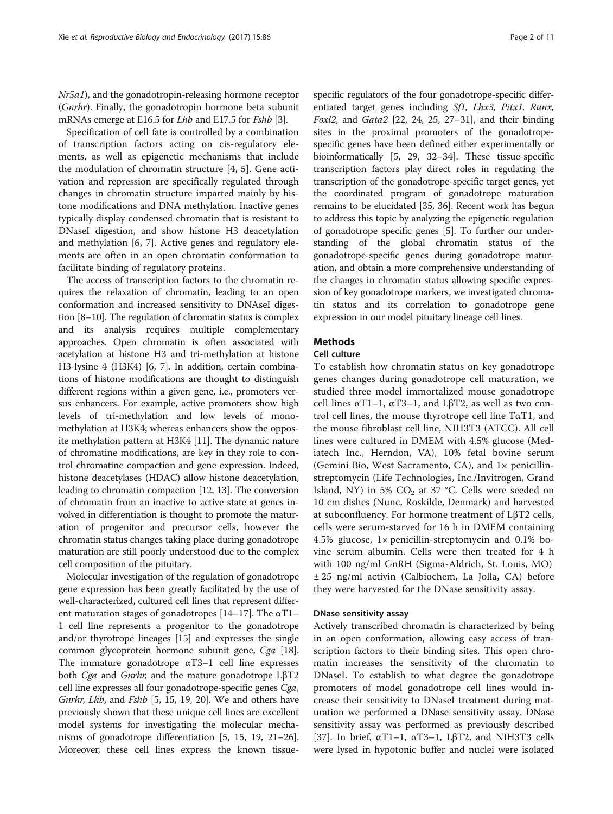Nr5a1), and the gonadotropin-releasing hormone receptor (Gnrhr). Finally, the gonadotropin hormone beta subunit mRNAs emerge at E16.5 for Lhb and E17.5 for Fshb [\[3\]](#page-9-0).

Specification of cell fate is controlled by a combination of transcription factors acting on cis-regulatory elements, as well as epigenetic mechanisms that include the modulation of chromatin structure [[4, 5\]](#page-9-0). Gene activation and repression are specifically regulated through changes in chromatin structure imparted mainly by histone modifications and DNA methylation. Inactive genes typically display condensed chromatin that is resistant to DNaseI digestion, and show histone H3 deacetylation and methylation [[6, 7\]](#page-9-0). Active genes and regulatory elements are often in an open chromatin conformation to facilitate binding of regulatory proteins.

The access of transcription factors to the chromatin requires the relaxation of chromatin, leading to an open conformation and increased sensitivity to DNAseI digestion [\[8](#page-9-0)–[10\]](#page-9-0). The regulation of chromatin status is complex and its analysis requires multiple complementary approaches. Open chromatin is often associated with acetylation at histone H3 and tri-methylation at histone H3-lysine 4 (H3K4) [[6](#page-9-0), [7](#page-9-0)]. In addition, certain combinations of histone modifications are thought to distinguish different regions within a given gene, i.e., promoters versus enhancers. For example, active promoters show high levels of tri-methylation and low levels of monomethylation at H3K4; whereas enhancers show the opposite methylation pattern at H3K4 [\[11](#page-9-0)]. The dynamic nature of chromatine modifications, are key in they role to control chromatine compaction and gene expression. Indeed, histone deacetylases (HDAC) allow histone deacetylation, leading to chromatin compaction [\[12, 13](#page-9-0)]. The conversion of chromatin from an inactive to active state at genes involved in differentiation is thought to promote the maturation of progenitor and precursor cells, however the chromatin status changes taking place during gonadotrope maturation are still poorly understood due to the complex cell composition of the pituitary.

Molecular investigation of the regulation of gonadotrope gene expression has been greatly facilitated by the use of well-characterized, cultured cell lines that represent different maturation stages of gonadotropes  $[14–17]$  $[14–17]$  $[14–17]$ . The  $\alpha$ T1– 1 cell line represents a progenitor to the gonadotrope and/or thyrotrope lineages [\[15\]](#page-9-0) and expresses the single common glycoprotein hormone subunit gene, Cga [[18](#page-9-0)]. The immature gonadotrope  $\alpha$ T3–1 cell line expresses both *Cga* and *Gnrhr*, and the mature gonadotrope LβT2 cell line expresses all four gonadotrope-specific genes Cga, Gnrhr, Lhb, and Fshb [[5](#page-9-0), [15, 19, 20\]](#page-9-0). We and others have previously shown that these unique cell lines are excellent model systems for investigating the molecular mechanisms of gonadotrope differentiation [\[5](#page-9-0), [15](#page-9-0), [19, 21](#page-9-0)–[26](#page-9-0)]. Moreover, these cell lines express the known tissuespecific regulators of the four gonadotrope-specific differentiated target genes including Sf1, Lhx3, Pitx1, Runx, Foxl2, and Gata2 [\[22, 24, 25, 27](#page-9-0)–[31\]](#page-9-0), and their binding sites in the proximal promoters of the gonadotropespecific genes have been defined either experimentally or bioinformatically [\[5](#page-9-0), [29, 32](#page-9-0)–[34\]](#page-10-0). These tissue-specific transcription factors play direct roles in regulating the transcription of the gonadotrope-specific target genes, yet the coordinated program of gonadotrope maturation remains to be elucidated [[35](#page-10-0), [36](#page-10-0)]. Recent work has begun to address this topic by analyzing the epigenetic regulation of gonadotrope specific genes [\[5](#page-9-0)]. To further our understanding of the global chromatin status of the gonadotrope-specific genes during gonadotrope maturation, and obtain a more comprehensive understanding of the changes in chromatin status allowing specific expression of key gonadotrope markers, we investigated chromatin status and its correlation to gonadotrope gene expression in our model pituitary lineage cell lines.

## Methods

## Cell culture

To establish how chromatin status on key gonadotrope genes changes during gonadotrope cell maturation, we studied three model immortalized mouse gonadotrope cell lines  $αT1-1$ ,  $αT3-1$ , and LβT2, as well as two control cell lines, the mouse thyrotrope cell line  $T\alpha T1$ , and the mouse fibroblast cell line, NIH3T3 (ATCC). All cell lines were cultured in DMEM with 4.5% glucose (Mediatech Inc., Herndon, VA), 10% fetal bovine serum (Gemini Bio, West Sacramento, CA), and 1× penicillinstreptomycin (Life Technologies, Inc./Invitrogen, Grand Island, NY) in 5%  $CO<sub>2</sub>$  at 37 °C. Cells were seeded on 10 cm dishes (Nunc, Roskilde, Denmark) and harvested at subconfluency. For hormone treatment of LβT2 cells, cells were serum-starved for 16 h in DMEM containing 4.5% glucose, 1× penicillin-streptomycin and 0.1% bovine serum albumin. Cells were then treated for 4 h with 100 ng/ml GnRH (Sigma-Aldrich, St. Louis, MO) ± 25 ng/ml activin (Calbiochem, La Jolla, CA) before they were harvested for the DNase sensitivity assay.

#### DNase sensitivity assay

Actively transcribed chromatin is characterized by being in an open conformation, allowing easy access of transcription factors to their binding sites. This open chromatin increases the sensitivity of the chromatin to DNaseI. To establish to what degree the gonadotrope promoters of model gonadotrope cell lines would increase their sensitivity to DNaseI treatment during maturation we performed a DNase sensitivity assay. DNase sensitivity assay was performed as previously described [[37\]](#page-10-0). In brief, αT1–1, αT3–1, LβT2, and NIH3T3 cells were lysed in hypotonic buffer and nuclei were isolated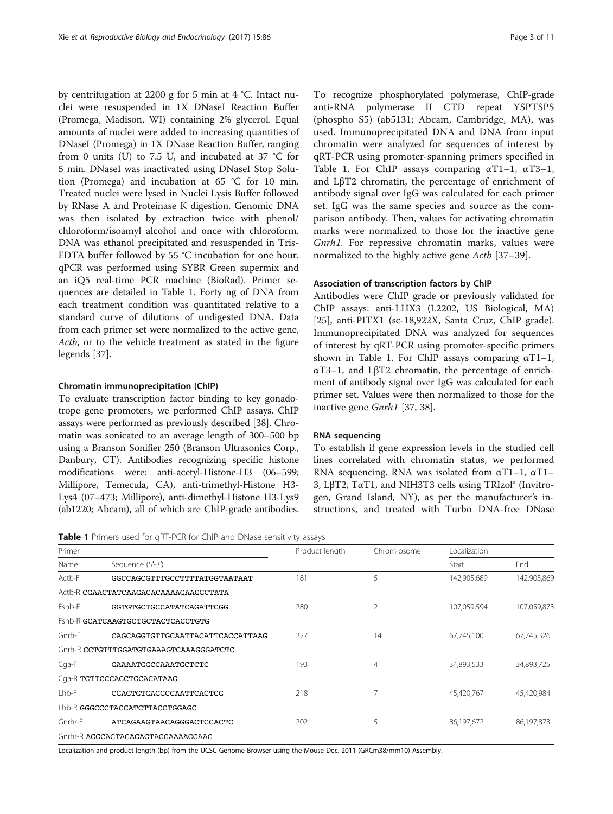<span id="page-2-0"></span>by centrifugation at 2200 g for 5 min at 4 °C. Intact nuclei were resuspended in 1X DNaseI Reaction Buffer (Promega, Madison, WI) containing 2% glycerol. Equal amounts of nuclei were added to increasing quantities of DNaseI (Promega) in 1X DNase Reaction Buffer, ranging from 0 units (U) to 7.5 U, and incubated at 37 °C for 5 min. DNaseI was inactivated using DNaseI Stop Solution (Promega) and incubation at 65 °C for 10 min. Treated nuclei were lysed in Nuclei Lysis Buffer followed by RNase A and Proteinase K digestion. Genomic DNA was then isolated by extraction twice with phenol/ chloroform/isoamyl alcohol and once with chloroform. DNA was ethanol precipitated and resuspended in Tris-EDTA buffer followed by 55 °C incubation for one hour. qPCR was performed using SYBR Green supermix and an iQ5 real-time PCR machine (BioRad). Primer sequences are detailed in Table 1. Forty ng of DNA from each treatment condition was quantitated relative to a standard curve of dilutions of undigested DNA. Data from each primer set were normalized to the active gene, Actb, or to the vehicle treatment as stated in the figure legends [\[37](#page-10-0)].

#### Chromatin immunoprecipitation (ChIP)

To evaluate transcription factor binding to key gonadotrope gene promoters, we performed ChIP assays. ChIP assays were performed as previously described [[38\]](#page-10-0). Chromatin was sonicated to an average length of 300–500 bp using a Branson Sonifier 250 (Branson Ultrasonics Corp., Danbury, CT). Antibodies recognizing specific histone modifications were: anti-acetyl-Histone-H3 (06–599; Millipore, Temecula, CA), anti-trimethyl-Histone H3- Lys4 (07–473; Millipore), anti-dimethyl-Histone H3-Lys9 (ab1220; Abcam), all of which are ChIP-grade antibodies.

Table 1 Primers used for qRT-PCR for ChIP and DNase sensitivity assays

| Primer  |                                        | Product length | Chrom-osome | Localization |             |
|---------|----------------------------------------|----------------|-------------|--------------|-------------|
| Name    | Sequence (5'-3')                       |                |             | Start        | End         |
| Actb-F  | GGCCAGCGTTTGCCTTTTATGGTAATAAT          | 181            | 5           | 142,905,689  | 142,905,869 |
|         | Actb-R CGAACTATCAAGACACAAAAGAAGGCTATA  |                |             |              |             |
| Fshb-F  | GGTGTGCTGCCATATCAGATTCGG               | 280            | 2           | 107,059,594  | 107,059,873 |
|         | Fshb-R GCATCAAGTGCTGCTACTCACCTGTG      |                |             |              |             |
| Gnrh-F  | CAGCAGGTGTTGCAATTACATTCACCATTAAG       | 227            | 14          | 67,745,100   | 67,745,326  |
|         | Gnrh-R CCTGTTTGGATGTGAAAGTCAAAGGGATCTC |                |             |              |             |
| Cga-F   | GAAAATGGCCAAATGCTCTC                   | 193            | 4           | 34,893,533   | 34,893,725  |
|         | Cga-R TGTTCCCAGCTGCACATAAG             |                |             |              |             |
| Lhb-F   | CGAGTGTGAGGCCAATTCACTGG                | 218            | 7           | 45,420,767   | 45,420,984  |
|         | Lhb-R GGGCCCTACCATCTTACCTGGAGC         |                |             |              |             |
| Gnrhr-F | ATCAGAAGTAACAGGGACTCCACTC              | 202            | 5           | 86,197,672   | 86,197,873  |
|         | Gnrhr-R AGGCAGTAGAGAGTAGGAAAAGGAAG     |                |             |              |             |

Localization and product length (bp) from the UCSC Genome Browser using the Mouse Dec. 2011 (GRCm38/mm10) Assembly.

To recognize phosphorylated polymerase, ChIP-grade anti-RNA polymerase II CTD repeat YSPTSPS (phospho S5) (ab5131; Abcam, Cambridge, MA), was used. Immunoprecipitated DNA and DNA from input chromatin were analyzed for sequences of interest by qRT-PCR using promoter-spanning primers specified in Table 1. For ChIP assays comparing  $\alpha$ T1-1,  $\alpha$ T3-1, and LβT2 chromatin, the percentage of enrichment of antibody signal over IgG was calculated for each primer set. IgG was the same species and source as the comparison antibody. Then, values for activating chromatin marks were normalized to those for the inactive gene Gnrh1. For repressive chromatin marks, values were normalized to the highly active gene *Actb* [\[37](#page-10-0)–[39](#page-10-0)].

## Association of transcription factors by ChIP

Antibodies were ChIP grade or previously validated for ChIP assays: anti-LHX3 (L2202, US Biological, MA) [[25\]](#page-9-0), anti-PITX1 (sc-18,922X, Santa Cruz, ChIP grade). Immunoprecipitated DNA was analyzed for sequences of interest by qRT-PCR using promoter-specific primers shown in Table 1. For ChIP assays comparing  $\alpha$ T1-1, αT3–1, and LβT2 chromatin, the percentage of enrichment of antibody signal over IgG was calculated for each primer set. Values were then normalized to those for the inactive gene Gnrh1 [\[37](#page-10-0), [38\]](#page-10-0).

## RNA sequencing

To establish if gene expression levels in the studied cell lines correlated with chromatin status, we performed RNA sequencing. RNA was isolated from  $\alpha$ T1–1,  $\alpha$ T1– 3, LβT2, TαT1, and NIH3T3 cells using TRIzol® (Invitrogen, Grand Island, NY), as per the manufacturer's instructions, and treated with Turbo DNA-free DNase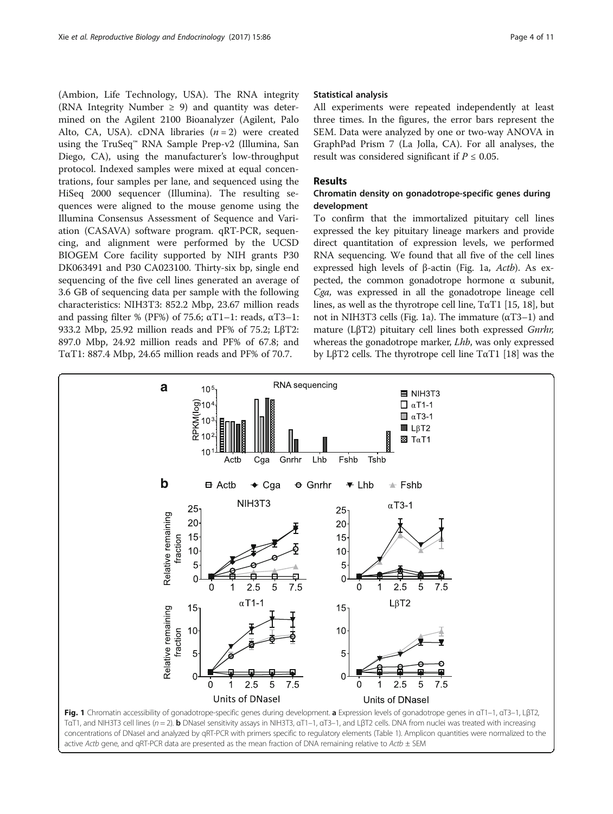<span id="page-3-0"></span>(Ambion, Life Technology, USA). The RNA integrity (RNA Integrity Number  $\geq$  9) and quantity was determined on the Agilent 2100 Bioanalyzer (Agilent, Palo Alto, CA, USA). cDNA libraries  $(n = 2)$  were created using the TruSeq™ RNA Sample Prep-v2 (Illumina, San Diego, CA), using the manufacturer's low-throughput protocol. Indexed samples were mixed at equal concentrations, four samples per lane, and sequenced using the HiSeq 2000 sequencer (Illumina). The resulting sequences were aligned to the mouse genome using the Illumina Consensus Assessment of Sequence and Variation (CASAVA) software program. qRT-PCR, sequencing, and alignment were performed by the UCSD BIOGEM Core facility supported by NIH grants P30 DK063491 and P30 CA023100. Thirty-six bp, single end sequencing of the five cell lines generated an average of 3.6 GB of sequencing data per sample with the following characteristics: NIH3T3: 852.2 Mbp, 23.67 million reads and passing filter % (PF%) of 75.6;  $\alpha$ T1–1: reads,  $\alpha$ T3–1: 933.2 Mbp, 25.92 million reads and PF% of 75.2; LβT2: 897.0 Mbp, 24.92 million reads and PF% of 67.8; and TαT1: 887.4 Mbp, 24.65 million reads and PF% of 70.7.

## Statistical analysis

All experiments were repeated independently at least three times. In the figures, the error bars represent the SEM. Data were analyzed by one or two-way ANOVA in GraphPad Prism 7 (La Jolla, CA). For all analyses, the result was considered significant if  $P \leq 0.05$ .

## Results

## Chromatin density on gonadotrope-specific genes during development

To confirm that the immortalized pituitary cell lines expressed the key pituitary lineage markers and provide direct quantitation of expression levels, we performed RNA sequencing. We found that all five of the cell lines expressed high levels of <sup>β</sup>-actin (Fig. 1a, Actb). As expected, the common gonadotrope hormone  $\alpha$  subunit, Cga, was expressed in all the gonadotrope lineage cell lines, as well as the thyrotrope cell line,  $T\alpha T1$  [\[15, 18](#page-9-0)], but not in NIH3T3 cells (Fig. 1a). The immature (αT3–1) and mature (LβT2) pituitary cell lines both expressed Gnrhr, whereas the gonadotrope marker, Lhb, was only expressed by LβT2 cells. The thyrotrope cell line TαT1 [\[18\]](#page-9-0) was the

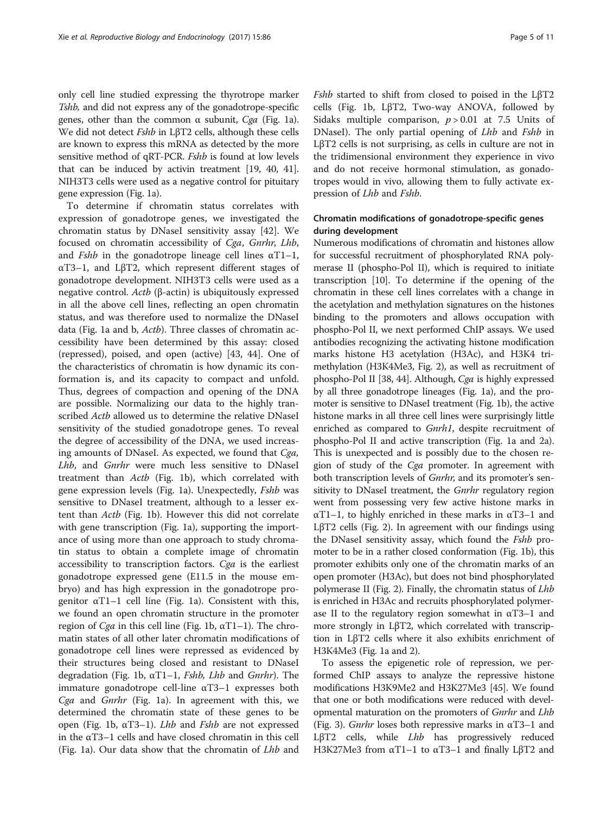only cell line studied expressing the thyrotrope marker Tshb, and did not express any of the gonadotrope-specific genes, other than the common α subunit, Cga (Fig. [1a](#page-3-0)). We did not detect Fshb in LβT2 cells, although these cells are known to express this mRNA as detected by the more sensitive method of qRT-PCR. Fshb is found at low levels that can be induced by activin treatment [[19,](#page-9-0) [40](#page-10-0), [41](#page-10-0)]. NIH3T3 cells were used as a negative control for pituitary gene expression (Fig. [1a\)](#page-3-0).

To determine if chromatin status correlates with expression of gonadotrope genes, we investigated the chromatin status by DNaseI sensitivity assay [\[42](#page-10-0)]. We focused on chromatin accessibility of Cga, Gnrhr, Lhb, and *Fshb* in the gonadotrope lineage cell lines  $\alpha$ T1–1, αT3–1, and LβT2, which represent different stages of gonadotrope development. NIH3T3 cells were used as a negative control. Actb (β-actin) is ubiquitously expressed in all the above cell lines, reflecting an open chromatin status, and was therefore used to normalize the DNaseI data (Fig. [1a and b,](#page-3-0) *Actb*). Three classes of chromatin accessibility have been determined by this assay: closed (repressed), poised, and open (active) [[43, 44](#page-10-0)]. One of the characteristics of chromatin is how dynamic its conformation is, and its capacity to compact and unfold. Thus, degrees of compaction and opening of the DNA are possible. Normalizing our data to the highly transcribed Actb allowed us to determine the relative DNaseI sensitivity of the studied gonadotrope genes. To reveal the degree of accessibility of the DNA, we used increasing amounts of DNaseI. As expected, we found that Cga, Lhb, and Gnrhr were much less sensitive to DNaseI treatment than Actb (Fig. [1b](#page-3-0)), which correlated with gene expression levels (Fig. [1a\)](#page-3-0). Unexpectedly, Fshb was sensitive to DNaseI treatment, although to a lesser extent than Actb (Fig. [1b](#page-3-0)). However this did not correlate with gene transcription (Fig. [1a\)](#page-3-0), supporting the importance of using more than one approach to study chromatin status to obtain a complete image of chromatin accessibility to transcription factors. Cga is the earliest gonadotrope expressed gene (E11.5 in the mouse embryo) and has high expression in the gonadotrope progenitor  $αT1-1$  cell line (Fig. [1a\)](#page-3-0). Consistent with this, we found an open chromatin structure in the promoter region of *Cga* in this cell line (Fig. [1b,](#page-3-0)  $\alpha$ T1–1). The chromatin states of all other later chromatin modifications of gonadotrope cell lines were repressed as evidenced by their structures being closed and resistant to DNaseI degradation (Fig. [1b,](#page-3-0)  $\alpha$ T1–1, *Fshb*, *Lhb* and *Gnrhr*). The immature gonadotrope cell-line αT3–1 expresses both Cga and Gnrhr (Fig. [1a\)](#page-3-0). In agreement with this, we determined the chromatin state of these genes to be open (Fig. [1b](#page-3-0), αT3-1). *Lhb* and *Fshb* are not expressed in the αT3–1 cells and have closed chromatin in this cell (Fig. [1a](#page-3-0)). Our data show that the chromatin of Lhb and Fshb started to shift from closed to poised in the LβT2 cells (Fig. [1b](#page-3-0), LβT2, Two-way ANOVA, followed by Sidaks multiple comparison,  $p > 0.01$  at 7.5 Units of DNaseI). The only partial opening of *Lhb* and *Fshb* in LβT2 cells is not surprising, as cells in culture are not in the tridimensional environment they experience in vivo and do not receive hormonal stimulation, as gonadotropes would in vivo, allowing them to fully activate expression of Lhb and Fshb.

## Chromatin modifications of gonadotrope-specific genes during development

Numerous modifications of chromatin and histones allow for successful recruitment of phosphorylated RNA polymerase II (phospho-Pol II), which is required to initiate transcription [\[10](#page-9-0)]. To determine if the opening of the chromatin in these cell lines correlates with a change in the acetylation and methylation signatures on the histones binding to the promoters and allows occupation with phospho-Pol II, we next performed ChIP assays. We used antibodies recognizing the activating histone modification marks histone H3 acetylation (H3Ac), and H3K4 trimethylation (H3K4Me3, Fig. [2\)](#page-5-0), as well as recruitment of phospho-Pol II [[38](#page-10-0), [44\]](#page-10-0). Although, Cga is highly expressed by all three gonadotrope lineages (Fig. [1a\)](#page-3-0), and the promoter is sensitive to DNaseI treatment (Fig. [1b](#page-3-0)), the active histone marks in all three cell lines were surprisingly little enriched as compared to *Gnrh1*, despite recruitment of phospho-Pol II and active transcription (Fig. [1a](#page-3-0) and [2a](#page-5-0)). This is unexpected and is possibly due to the chosen region of study of the Cga promoter. In agreement with both transcription levels of *Gnrhr*, and its promoter's sensitivity to DNaseI treatment, the *Gnrhr* regulatory region went from possessing very few active histone marks in  $\alpha$ T1–1, to highly enriched in these marks in  $\alpha$ T3–1 and LβT2 cells (Fig. [2\)](#page-5-0). In agreement with our findings using the DNaseI sensitivity assay, which found the Fshb promoter to be in a rather closed conformation (Fig. [1b\)](#page-3-0), this promoter exhibits only one of the chromatin marks of an open promoter (H3Ac), but does not bind phosphorylated polymerase II (Fig. [2](#page-5-0)). Finally, the chromatin status of Lhb is enriched in H3Ac and recruits phosphorylated polymerase II to the regulatory region somewhat in  $\alpha$ T3-1 and more strongly in LβT2, which correlated with transcription in LβT2 cells where it also exhibits enrichment of H3K4Me3 (Fig. [1a](#page-3-0) and [2](#page-5-0)).

To assess the epigenetic role of repression, we performed ChIP assays to analyze the repressive histone modifications H3K9Me2 and H3K27Me3 [\[45\]](#page-10-0). We found that one or both modifications were reduced with developmental maturation on the promoters of *Gnrhr* and *Lhb* (Fig. [3](#page-5-0)). *Gnrhr* loses both repressive marks in  $\alpha$ T3–1 and LβT2 cells, while *Lhb* has progressively reduced H3K27Me3 from  $\alpha$ T1–1 to  $\alpha$ T3–1 and finally LβT2 and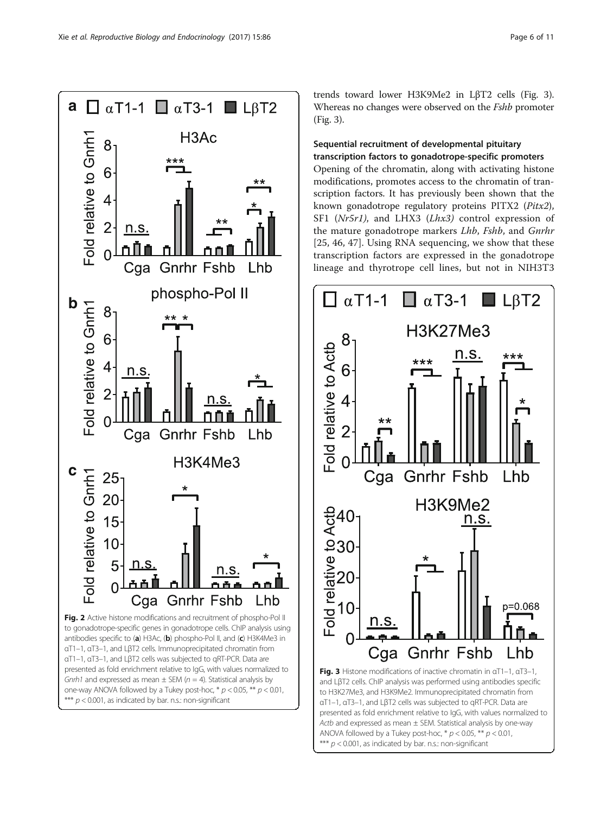<span id="page-5-0"></span>

trends toward lower H3K9Me2 in LβT2 cells (Fig. 3). Whereas no changes were observed on the *Fshb* promoter (Fig. 3).

## Sequential recruitment of developmental pituitary transcription factors to gonadotrope-specific promoters

Opening of the chromatin, along with activating histone modifications, promotes access to the chromatin of transcription factors. It has previously been shown that the known gonadotrope regulatory proteins PITX2 (Pitx2), SF1 (Nr5r1), and LHX3 (Lhx3) control expression of the mature gonadotrope markers Lhb, Fshb, and Gnrhr [[25,](#page-9-0) [46](#page-10-0), [47](#page-10-0)]. Using RNA sequencing, we show that these transcription factors are expressed in the gonadotrope lineage and thyrotrope cell lines, but not in NIH3T3



Actb and expressed as mean  $\pm$  SEM. Statistical analysis by one-way ANOVA followed by a Tukey post-hoc,  $* p < 0.05$ ,  $** p < 0.01$ , \*\*\*  $p < 0.001$ , as indicated by bar. n.s.: non-significant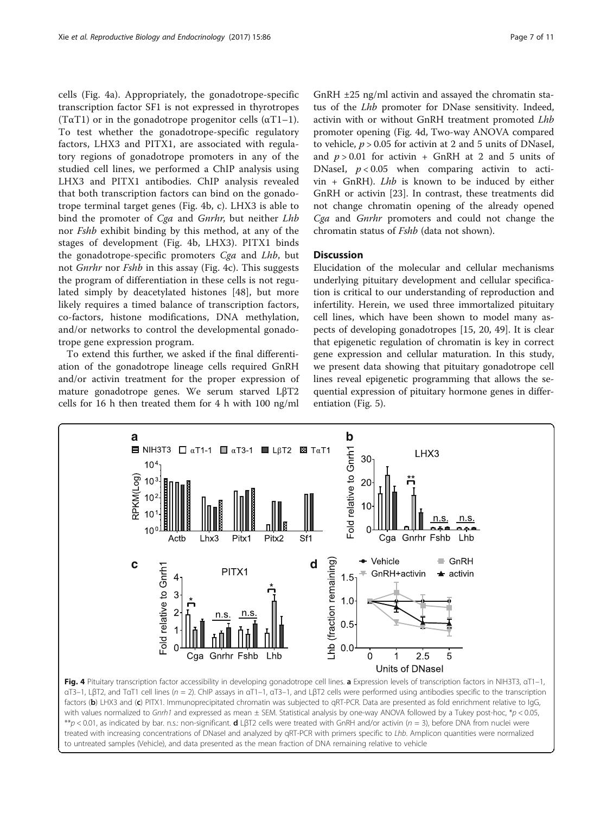cells (Fig. 4a). Appropriately, the gonadotrope-specific transcription factor SF1 is not expressed in thyrotropes (T $\alpha$ T1) or in the gonadotrope progenitor cells ( $\alpha$ T1–1). To test whether the gonadotrope-specific regulatory factors, LHX3 and PITX1, are associated with regulatory regions of gonadotrope promoters in any of the studied cell lines, we performed a ChIP analysis using LHX3 and PITX1 antibodies. ChIP analysis revealed that both transcription factors can bind on the gonadotrope terminal target genes (Fig. 4b, c). LHX3 is able to bind the promoter of Cga and Gnrhr, but neither Lhb nor Fshb exhibit binding by this method, at any of the stages of development (Fig. 4b, LHX3). PITX1 binds the gonadotrope-specific promoters Cga and Lhb, but not Gnrhr nor Fshb in this assay (Fig. 4c). This suggests the program of differentiation in these cells is not regulated simply by deacetylated histones [[48\]](#page-10-0), but more likely requires a timed balance of transcription factors, co-factors, histone modifications, DNA methylation, and/or networks to control the developmental gonadotrope gene expression program.

To extend this further, we asked if the final differentiation of the gonadotrope lineage cells required GnRH and/or activin treatment for the proper expression of mature gonadotrope genes. We serum starved LβT2 cells for 16 h then treated them for 4 h with 100 ng/ml GnRH ±25 ng/ml activin and assayed the chromatin status of the Lhb promoter for DNase sensitivity. Indeed, activin with or without GnRH treatment promoted Lhb promoter opening (Fig. 4d, Two-way ANOVA compared to vehicle,  $p > 0.05$  for activin at 2 and 5 units of DNaseI, and  $p > 0.01$  for activin + GnRH at 2 and 5 units of DNaseI,  $p < 0.05$  when comparing activin to acti-

 $vin + GnRH$ ). *Lhb* is known to be induced by either GnRH or activin [[23\]](#page-9-0). In contrast, these treatments did not change chromatin opening of the already opened Cga and Gnrhr promoters and could not change the chromatin status of Fshb (data not shown).

## **Discussion**

Elucidation of the molecular and cellular mechanisms underlying pituitary development and cellular specification is critical to our understanding of reproduction and infertility. Herein, we used three immortalized pituitary cell lines, which have been shown to model many aspects of developing gonadotropes [\[15, 20](#page-9-0), [49\]](#page-10-0). It is clear that epigenetic regulation of chromatin is key in correct gene expression and cellular maturation. In this study, we present data showing that pituitary gonadotrope cell lines reveal epigenetic programming that allows the sequential expression of pituitary hormone genes in differentiation (Fig. [5](#page-7-0)).

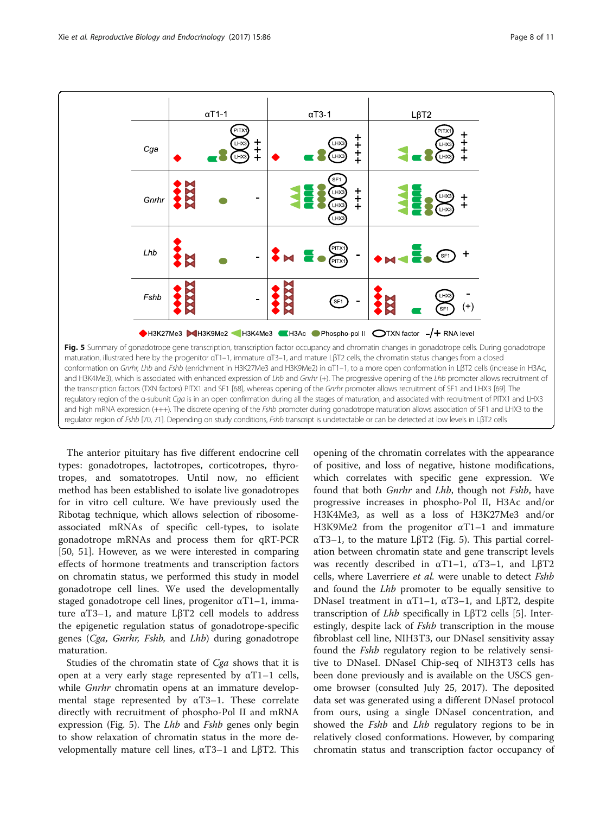<span id="page-7-0"></span>

The anterior pituitary has five different endocrine cell types: gonadotropes, lactotropes, corticotropes, thyrotropes, and somatotropes. Until now, no efficient method has been established to isolate live gonadotropes for in vitro cell culture. We have previously used the Ribotag technique, which allows selection of ribosomeassociated mRNAs of specific cell-types, to isolate gonadotrope mRNAs and process them for qRT-PCR [[50, 51\]](#page-10-0). However, as we were interested in comparing effects of hormone treatments and transcription factors on chromatin status, we performed this study in model gonadotrope cell lines. We used the developmentally staged gonadotrope cell lines, progenitor αT1–1, immature αT3–1, and mature LβT2 cell models to address the epigenetic regulation status of gonadotrope-specific genes (Cga, Gnrhr, Fshb, and Lhb) during gonadotrope maturation.

Studies of the chromatin state of Cga shows that it is open at a very early stage represented by  $αT1-1$  cells, while *Gnrhr* chromatin opens at an immature developmental stage represented by  $\alpha$ T3-1. These correlate directly with recruitment of phospho-Pol II and mRNA expression (Fig. 5). The *Lhb* and *Fshb* genes only begin to show relaxation of chromatin status in the more developmentally mature cell lines,  $αT3-1$  and LβT2. This

opening of the chromatin correlates with the appearance of positive, and loss of negative, histone modifications, which correlates with specific gene expression. We found that both Gnrhr and Lhb, though not Fshb, have progressive increases in phospho-Pol II, H3Ac and/or H3K4Me3, as well as a loss of H3K27Me3 and/or H3K9Me2 from the progenitor αT1–1 and immature αT3–1, to the mature LβT2 (Fig. 5). This partial correlation between chromatin state and gene transcript levels was recently described in  $\alpha$ T1–1,  $\alpha$ T3–1, and L $\beta$ T2 cells, where Laverriere et al. were unable to detect Fshb and found the *Lhb* promoter to be equally sensitive to DNaseI treatment in αT1–1, αT3–1, and LβT2, despite transcription of Lhb specifically in LβT2 cells [\[5](#page-9-0)]. Interestingly, despite lack of *Fshb* transcription in the mouse fibroblast cell line, NIH3T3, our DNaseI sensitivity assay found the *Fshb* regulatory region to be relatively sensitive to DNaseI. DNaseI Chip-seq of NIH3T3 cells has been done previously and is available on the USCS genome browser (consulted July 25, 2017). The deposited data set was generated using a different DNaseI protocol from ours, using a single DNaseI concentration, and showed the *Fshb* and *Lhb* regulatory regions to be in relatively closed conformations. However, by comparing chromatin status and transcription factor occupancy of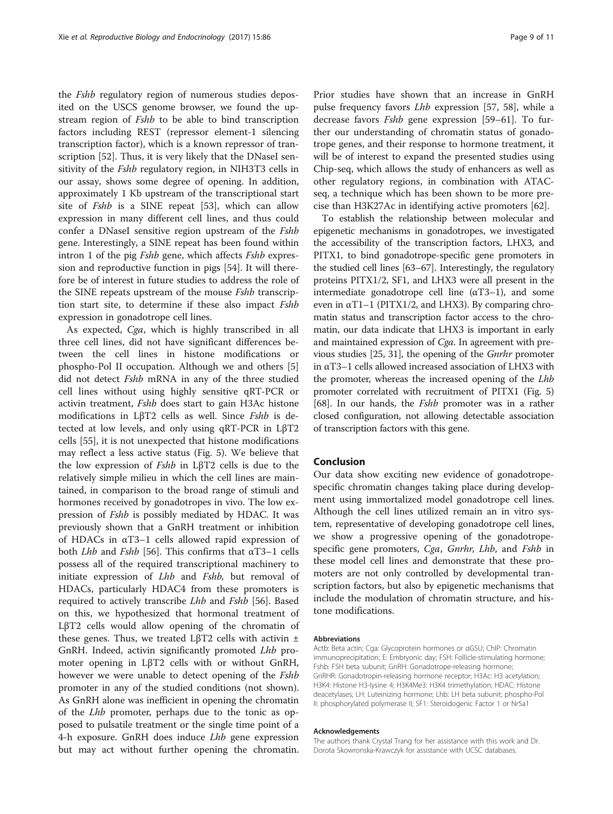the *Fshb* regulatory region of numerous studies deposited on the USCS genome browser, we found the upstream region of *Fshb* to be able to bind transcription factors including REST (repressor element-1 silencing transcription factor), which is a known repressor of tran-scription [[52\]](#page-10-0). Thus, it is very likely that the DNaseI sensitivity of the *Fshb* regulatory region, in NIH3T3 cells in our assay, shows some degree of opening. In addition, approximately 1 Kb upstream of the transcriptional start site of Fshb is a SINE repeat [\[53\]](#page-10-0), which can allow expression in many different cell lines, and thus could confer a DNaseI sensitive region upstream of the Fshb gene. Interestingly, a SINE repeat has been found within intron 1 of the pig *Fshb* gene, which affects *Fshb* expression and reproductive function in pigs [[54](#page-10-0)]. It will therefore be of interest in future studies to address the role of the SINE repeats upstream of the mouse *Fshb* transcription start site, to determine if these also impact Fshb expression in gonadotrope cell lines.

As expected, Cga, which is highly transcribed in all three cell lines, did not have significant differences between the cell lines in histone modifications or phospho-Pol II occupation. Although we and others [\[5](#page-9-0)] did not detect *Fshb* mRNA in any of the three studied cell lines without using highly sensitive qRT-PCR or activin treatment, Fshb does start to gain H3Ac histone modifications in LβT2 cells as well. Since Fshb is detected at low levels, and only using qRT-PCR in LβT2 cells [[55](#page-10-0)], it is not unexpected that histone modifications may reflect a less active status (Fig. [5](#page-7-0)). We believe that the low expression of Fshb in LβT2 cells is due to the relatively simple milieu in which the cell lines are maintained, in comparison to the broad range of stimuli and hormones received by gonadotropes in vivo. The low expression of Fshb is possibly mediated by HDAC. It was previously shown that a GnRH treatment or inhibition of HDACs in αT3–1 cells allowed rapid expression of both *Lhb* and *Fshb* [\[56\]](#page-10-0). This confirms that  $\alpha$ T3–1 cells possess all of the required transcriptional machinery to initiate expression of *Lhb* and *Fshb*, but removal of HDACs, particularly HDAC4 from these promoters is required to actively transcribe Lhb and Fshb [[56\]](#page-10-0). Based on this, we hypothesized that hormonal treatment of LβT2 cells would allow opening of the chromatin of these genes. Thus, we treated L $\beta$ T2 cells with activin  $\pm$ GnRH. Indeed, activin significantly promoted Lhb promoter opening in LβT2 cells with or without GnRH, however we were unable to detect opening of the *Fshb* promoter in any of the studied conditions (not shown). As GnRH alone was inefficient in opening the chromatin of the Lhb promoter, perhaps due to the tonic as opposed to pulsatile treatment or the single time point of a 4-h exposure. GnRH does induce *Lhb* gene expression but may act without further opening the chromatin.

Prior studies have shown that an increase in GnRH pulse frequency favors Lhb expression [[57, 58\]](#page-10-0), while a decrease favors Fshb gene expression [\[59](#page-10-0)–[61\]](#page-10-0). To further our understanding of chromatin status of gonadotrope genes, and their response to hormone treatment, it will be of interest to expand the presented studies using Chip-seq, which allows the study of enhancers as well as other regulatory regions, in combination with ATACseq, a technique which has been shown to be more precise than H3K27Ac in identifying active promoters [[62\]](#page-10-0).

To establish the relationship between molecular and epigenetic mechanisms in gonadotropes, we investigated the accessibility of the transcription factors, LHX3, and PITX1, to bind gonadotrope-specific gene promoters in the studied cell lines [\[63](#page-10-0)–[67](#page-10-0)]. Interestingly, the regulatory proteins PITX1/2, SF1, and LHX3 were all present in the intermediate gonadotrope cell line  $(\alpha T3-1)$ , and some even in  $\alpha$ T1–1 (PITX1/2, and LHX3). By comparing chromatin status and transcription factor access to the chromatin, our data indicate that LHX3 is important in early and maintained expression of Cga. In agreement with previous studies [\[25](#page-9-0), [31](#page-9-0)], the opening of the Gnrhr promoter in αT3–1 cells allowed increased association of LHX3 with the promoter, whereas the increased opening of the Lhb promoter correlated with recruitment of PITX1 (Fig. [5](#page-7-0)) [[68](#page-10-0)]. In our hands, the *Fshb* promoter was in a rather closed configuration, not allowing detectable association of transcription factors with this gene.

## Conclusion

Our data show exciting new evidence of gonadotropespecific chromatin changes taking place during development using immortalized model gonadotrope cell lines. Although the cell lines utilized remain an in vitro system, representative of developing gonadotrope cell lines, we show a progressive opening of the gonadotropespecific gene promoters, Cga, Gnrhr, Lhb, and Fshb in these model cell lines and demonstrate that these promoters are not only controlled by developmental transcription factors, but also by epigenetic mechanisms that include the modulation of chromatin structure, and histone modifications.

#### Abbreviations

Actb: Beta actin; Cga: Glycoprotein hormones or αGSU; ChIP: Chromatin immunoprecipitation; E: Embryonic day; FSH: Follicle-stimulating hormone; Fshb: FSH beta subunit; GnRH: Gonadotrope-releasing hormone; GnRHR: Gonadotropin-releasing hormone receptor; H3Ac: H3 acetylation; H3K4: Histone H3-lysine 4; H3K4Me3: H3K4 trimethylation; HDAC: Histone deacetylases; LH: Luteinizing hormone; Lhb: LH beta subunit; phospho-Pol II: phosphorylated polymerase II; SF1: Steroidogenic Factor 1 or Nr5a1

#### Acknowledgements

The authors thank Crystal Trang for her assistance with this work and Dr. Dorota Skowronska-Krawczyk for assistance with UCSC databases.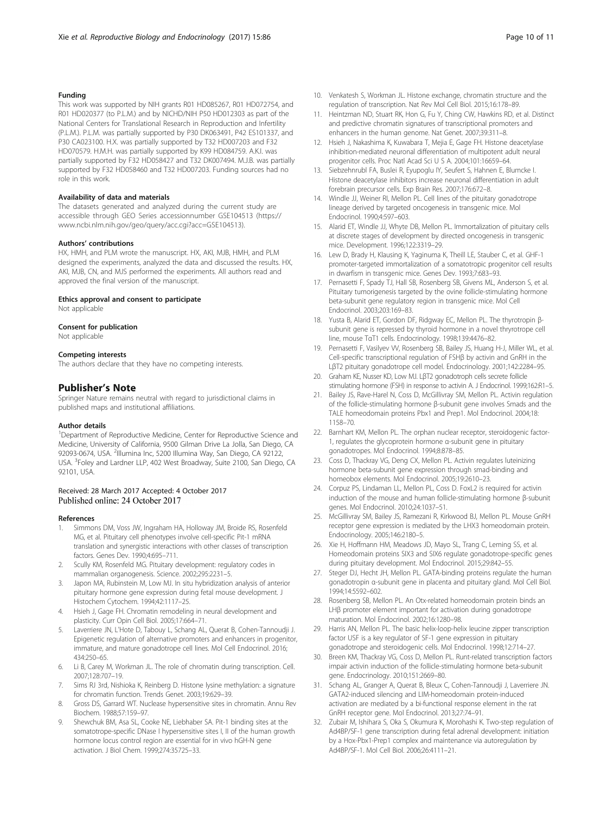## <span id="page-9-0"></span>Funding

This work was supported by NIH grants R01 HD085267, R01 HD072754, and R01 HD020377 (to P.L.M.) and by NICHD/NIH P50 HD012303 as part of the National Centers for Translational Research in Reproduction and Infertility (P.L.M.). P.L.M. was partially supported by P30 DK063491, P42 ES101337, and P30 CA023100. H.X. was partially supported by T32 HD007203 and F32 HD070579. H.M.H. was partially supported by K99 HD084759. A.K.I. was partially supported by F32 HD058427 and T32 DK007494. M.J.B. was partially supported by F32 HD058460 and T32 HD007203. Funding sources had no role in this work.

#### Availability of data and materials

The datasets generated and analyzed during the current study are accessible through GEO Series accessionnumber GSE104513 [\(https://](https://www.ncbi.nlm.nih.gov/geo/query/acc.cgi?acc=GSE104513) [www.ncbi.nlm.nih.gov/geo/query/acc.cgi?acc=GSE104513\)](https://www.ncbi.nlm.nih.gov/geo/query/acc.cgi?acc=GSE104513).

#### Authors' contributions

HX, HMH, and PLM wrote the manuscript. HX, AKI, MJB, HMH, and PLM designed the experiments, analyzed the data and discussed the results. HX, AKI, MJB, CN, and MJS performed the experiments. All authors read and approved the final version of the manuscript.

#### Ethics approval and consent to participate

Not applicable

#### Consent for publication

Not applicable

#### Competing interests

The authors declare that they have no competing interests.

#### Publisher's Note

Springer Nature remains neutral with regard to jurisdictional claims in published maps and institutional affiliations.

#### Author details

<sup>1</sup>Department of Reproductive Medicine, Center for Reproductive Science and Medicine, University of California, 9500 Gilman Drive La Jolla, San Diego, CA 92093-0674, USA. <sup>2</sup>Illumina Inc, 5200 Illumina Way, San Diego, CA 92122, USA. <sup>3</sup>Foley and Lardner LLP, 402 West Broadway, Suite 2100, San Diego, CA 92101, USA.

#### Received: 28 March 2017 Accepted: 4 October 2017 Published online: 24 October 2017

#### References

- 1. Simmons DM, Voss JW, Ingraham HA, Holloway JM, Broide RS, Rosenfeld MG, et al. Pituitary cell phenotypes involve cell-specific Pit-1 mRNA translation and synergistic interactions with other classes of transcription factors. Genes Dev. 1990;4:695–711.
- 2. Scully KM, Rosenfeld MG. Pituitary development: regulatory codes in mammalian organogenesis. Science. 2002;295:2231–5.
- Japon MA, Rubinstein M, Low MJ. In situ hybridization analysis of anterior pituitary hormone gene expression during fetal mouse development. J Histochem Cytochem. 1994;42:1117–25.
- 4. Hsieh J, Gage FH. Chromatin remodeling in neural development and plasticity. Curr Opin Cell Biol. 2005;17:664–71.
- Laverriere JN, L'Hote D, Tabouy L, Schang AL, Querat B, Cohen-Tannoudji J. Epigenetic regulation of alternative promoters and enhancers in progenitor, immature, and mature gonadotrope cell lines. Mol Cell Endocrinol. 2016; 434:250–65.
- Li B, Carey M, Workman JL. The role of chromatin during transcription. Cell. 2007;128:707–19.
- 7. Sims RJ 3rd, Nishioka K, Reinberg D. Histone lysine methylation: a signature for chromatin function. Trends Genet. 2003;19:629–39.
- 8. Gross DS, Garrard WT. Nuclease hypersensitive sites in chromatin. Annu Rev Biochem. 1988;57:159–97.
- 9. Shewchuk BM, Asa SL, Cooke NE, Liebhaber SA. Pit-1 binding sites at the somatotrope-specific DNase I hypersensitive sites I, II of the human growth hormone locus control region are essential for in vivo hGH-N gene activation. J Biol Chem. 1999;274:35725–33.
- 10. Venkatesh S, Workman JL. Histone exchange, chromatin structure and the regulation of transcription. Nat Rev Mol Cell Biol. 2015;16:178–89.
- 11. Heintzman ND, Stuart RK, Hon G, Fu Y, Ching CW, Hawkins RD, et al. Distinct and predictive chromatin signatures of transcriptional promoters and enhancers in the human genome. Nat Genet. 2007;39:311–8.
- 12. Hsieh J, Nakashima K, Kuwabara T, Mejia E, Gage FH. Histone deacetylase inhibition-mediated neuronal differentiation of multipotent adult neural progenitor cells. Proc Natl Acad Sci U S A. 2004;101:16659–64.
- 13. Siebzehnrubl FA, Buslei R, Eyupoglu IY, Seufert S, Hahnen E, Blumcke I. Histone deacetylase inhibitors increase neuronal differentiation in adult forebrain precursor cells. Exp Brain Res. 2007;176:672–8.
- 14. Windle JJ, Weiner RI, Mellon PL. Cell lines of the pituitary gonadotrope lineage derived by targeted oncogenesis in transgenic mice. Mol Endocrinol. 1990;4:597–603.
- 15. Alarid ET, Windle JJ, Whyte DB, Mellon PL. Immortalization of pituitary cells at discrete stages of development by directed oncogenesis in transgenic mice. Development. 1996;122:3319–29.
- 16. Lew D, Brady H, Klausing K, Yaginuma K, Theill LE, Stauber C, et al. GHF-1 promoter-targeted immortalization of a somatotropic progenitor cell results in dwarfism in transgenic mice. Genes Dev. 1993;7:683–93.
- 17. Pernasetti F, Spady TJ, Hall SB, Rosenberg SB, Givens ML, Anderson S, et al. Pituitary tumorigenesis targeted by the ovine follicle-stimulating hormone beta-subunit gene regulatory region in transgenic mice. Mol Cell Endocrinol. 2003;203:169–83.
- 18. Yusta B, Alarid ET, Gordon DF, Ridgway EC, Mellon PL. The thyrotropin βsubunit gene is repressed by thyroid hormone in a novel thryrotrope cell line, mouse TαT1 cells. Endocrinology. 1998;139:4476–82.
- 19. Pernasetti F, Vasilyev VV, Rosenberg SB, Bailey JS, Huang H-J, Miller WL, et al. Cell-specific transcriptional regulation of FSHβ by activin and GnRH in the LβT2 pituitary gonadotrope cell model. Endocrinology. 2001;142:2284–95.
- 20. Graham KE, Nusser KD, Low MJ. LβT2 gonadotroph cells secrete follicle stimulating hormone (FSH) in response to activin A. J Endocrinol. 1999;162:R1–5.
- 21. Bailey JS, Rave-Harel N, Coss D, McGillivray SM, Mellon PL. Activin regulation of the follicle-stimulating hormone β-subunit gene involves Smads and the TALE homeodomain proteins Pbx1 and Prep1. Mol Endocrinol. 2004;18: 1158–70.
- 22. Barnhart KM, Mellon PL. The orphan nuclear receptor, steroidogenic factor-1, regulates the glycoprotein hormone α-subunit gene in pituitary gonadotropes. Mol Endocrinol. 1994;8:878–85.
- 23. Coss D, Thackray VG, Deng CX, Mellon PL. Activin regulates luteinizing hormone beta-subunit gene expression through smad-binding and homeobox elements. Mol Endocrinol. 2005;19:2610–23.
- 24. Corpuz PS, Lindaman LL, Mellon PL, Coss D. FoxL2 is required for activin induction of the mouse and human follicle-stimulating hormone β-subunit genes. Mol Endocrinol. 2010;24:1037–51.
- 25. McGillivray SM, Bailey JS, Ramezani R, Kirkwood BJ, Mellon PL. Mouse GnRH receptor gene expression is mediated by the LHX3 homeodomain protein. Endocrinology. 2005;146:2180–5.
- 26. Xie H, Hoffmann HM, Meadows JD, Mayo SL, Trang C, Leming SS, et al. Homeodomain proteins SIX3 and SIX6 regulate gonadotrope-specific genes during pituitary development. Mol Endocrinol. 2015;29:842–55.
- 27. Steger DJ, Hecht JH, Mellon PL. GATA-binding proteins regulate the human gonadotropin α-subunit gene in placenta and pituitary gland. Mol Cell Biol. 1994;14:5592–602.
- 28. Rosenberg SB, Mellon PL. An Otx-related homeodomain protein binds an LHβ promoter element important for activation during gonadotrope maturation. Mol Endocrinol. 2002;16:1280–98.
- 29. Harris AN, Mellon PL. The basic helix-loop-helix leucine zipper transcription factor USF is a key regulator of SF-1 gene expression in pituitary gonadotrope and steroidogenic cells. Mol Endocrinol. 1998;12:714–27.
- 30. Breen KM, Thackray VG, Coss D, Mellon PL. Runt-related transcription factors impair activin induction of the follicle-stimulating hormone beta-subunit gene. Endocrinology. 2010;151:2669–80.
- 31. Schang AL, Granger A, Querat B, Bleux C, Cohen-Tannoudji J, Laverriere JN. GATA2-induced silencing and LIM-homeodomain protein-induced activation are mediated by a bi-functional response element in the rat GnRH receptor gene. Mol Endocrinol. 2013;27:74–91.
- 32. Zubair M, Ishihara S, Oka S, Okumura K, Morohashi K. Two-step regulation of Ad4BP/SF-1 gene transcription during fetal adrenal development: initiation by a Hox-Pbx1-Prep1 complex and maintenance via autoregulation by Ad4BP/SF-1. Mol Cell Biol. 2006;26:4111–21.